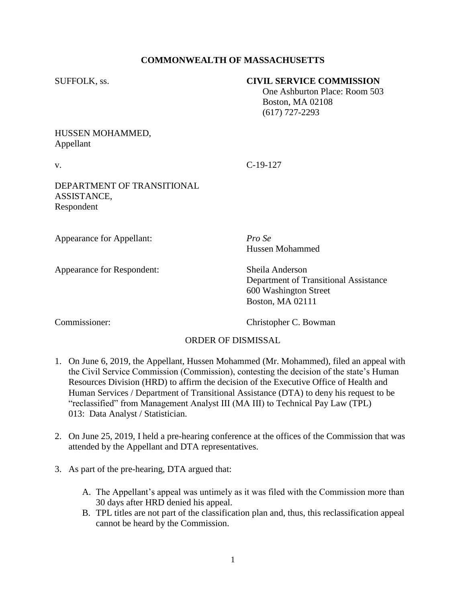## **COMMONWEALTH OF MASSACHUSETTS**

#### SUFFOLK, ss. **CIVIL SERVICE COMMISSION**

 One Ashburton Place: Room 503 Boston, MA 02108 (617) 727-2293

# HUSSEN MOHAMMED, Appellant

v. C-19-127

#### DEPARTMENT OF TRANSITIONAL ASSISTANCE, Respondent

Appearance for Appellant: *Pro Se*

Hussen Mohammed

Appearance for Respondent: Sheila Anderson

Department of Transitional Assistance 600 Washington Street Boston, MA 02111

Commissioner: Christopher C. Bowman

# ORDER OF DISMISSAL

- 1. On June 6, 2019, the Appellant, Hussen Mohammed (Mr. Mohammed), filed an appeal with the Civil Service Commission (Commission), contesting the decision of the state's Human Resources Division (HRD) to affirm the decision of the Executive Office of Health and Human Services / Department of Transitional Assistance (DTA) to deny his request to be "reclassified" from Management Analyst III (MA III) to Technical Pay Law (TPL) 013: Data Analyst / Statistician.
- 2. On June 25, 2019, I held a pre-hearing conference at the offices of the Commission that was attended by the Appellant and DTA representatives.
- 3. As part of the pre-hearing, DTA argued that:
	- A. The Appellant's appeal was untimely as it was filed with the Commission more than 30 days after HRD denied his appeal.
	- B. TPL titles are not part of the classification plan and, thus, this reclassification appeal cannot be heard by the Commission.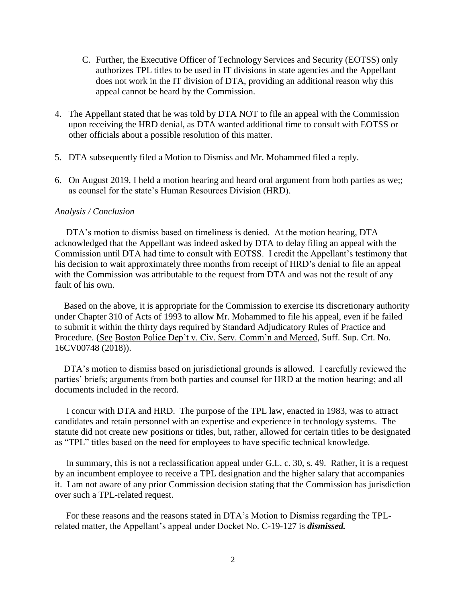- C. Further, the Executive Officer of Technology Services and Security (EOTSS) only authorizes TPL titles to be used in IT divisions in state agencies and the Appellant does not work in the IT division of DTA, providing an additional reason why this appeal cannot be heard by the Commission.
- 4. The Appellant stated that he was told by DTA NOT to file an appeal with the Commission upon receiving the HRD denial, as DTA wanted additional time to consult with EOTSS or other officials about a possible resolution of this matter.
- 5. DTA subsequently filed a Motion to Dismiss and Mr. Mohammed filed a reply.
- 6. On August 2019, I held a motion hearing and heard oral argument from both parties as we;; as counsel for the state's Human Resources Division (HRD).

#### *Analysis / Conclusion*

 DTA's motion to dismiss based on timeliness is denied. At the motion hearing, DTA acknowledged that the Appellant was indeed asked by DTA to delay filing an appeal with the Commission until DTA had time to consult with EOTSS. I credit the Appellant's testimony that his decision to wait approximately three months from receipt of HRD's denial to file an appeal with the Commission was attributable to the request from DTA and was not the result of any fault of his own.

 Based on the above, it is appropriate for the Commission to exercise its discretionary authority under Chapter 310 of Acts of 1993 to allow Mr. Mohammed to file his appeal, even if he failed to submit it within the thirty days required by Standard Adjudicatory Rules of Practice and Procedure. (See Boston Police Dep't v. Civ. Serv. Comm'n and Merced, Suff. Sup. Crt. No. 16CV00748 (2018)).

 DTA's motion to dismiss based on jurisdictional grounds is allowed. I carefully reviewed the parties' briefs; arguments from both parties and counsel for HRD at the motion hearing; and all documents included in the record.

 I concur with DTA and HRD. The purpose of the TPL law, enacted in 1983, was to attract candidates and retain personnel with an expertise and experience in technology systems. The statute did not create new positions or titles, but, rather, allowed for certain titles to be designated as "TPL" titles based on the need for employees to have specific technical knowledge.

 In summary, this is not a reclassification appeal under G.L. c. 30, s. 49. Rather, it is a request by an incumbent employee to receive a TPL designation and the higher salary that accompanies it. I am not aware of any prior Commission decision stating that the Commission has jurisdiction over such a TPL-related request.

 For these reasons and the reasons stated in DTA's Motion to Dismiss regarding the TPLrelated matter, the Appellant's appeal under Docket No. C-19-127 is *dismissed.*